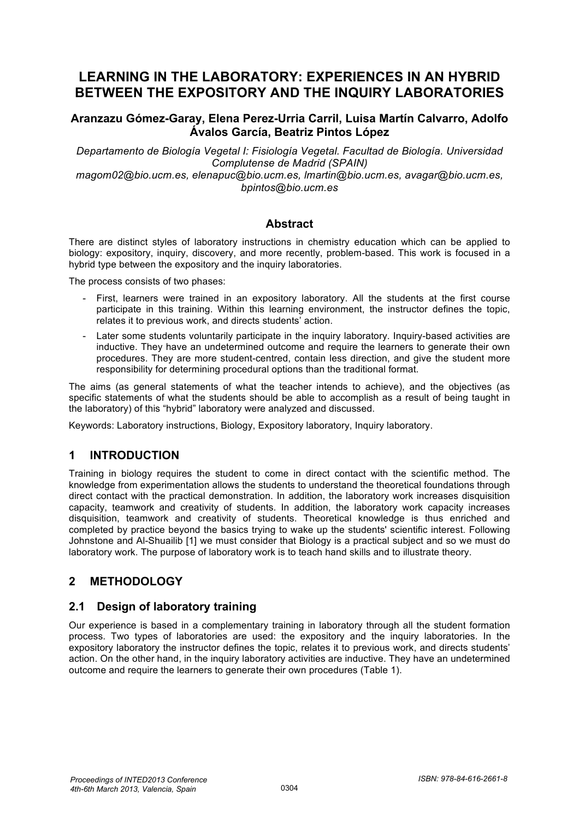# **LEARNING IN THE LABORATORY: EXPERIENCES IN AN HYBRID BETWEEN THE EXPOSITORY AND THE INQUIRY LABORATORIES**

#### **Aranzazu Gómez-Garay, Elena Perez-Urria Carril, Luisa Martín Calvarro, Adolfo Ávalos García, Beatriz Pintos López**

*Departamento de Biología Vegetal I: Fisiología Vegetal. Facultad de Biología. Universidad Complutense de Madrid (SPAIN) magom02@bio.ucm.es, elenapuc@bio.ucm.es, lmartin@bio.ucm.es, avagar@bio.ucm.es,* 

*bpintos@bio.ucm.es* 

#### **Abstract**

There are distinct styles of laboratory instructions in chemistry education which can be applied to biology: expository, inquiry, discovery, and more recently, problem-based. This work is focused in a hybrid type between the expository and the inquiry laboratories.

The process consists of two phases:

- First, learners were trained in an expository laboratory. All the students at the first course participate in this training. Within this learning environment, the instructor defines the topic, relates it to previous work, and directs students' action.
- Later some students voluntarily participate in the inquiry laboratory. Inquiry-based activities are inductive. They have an undetermined outcome and require the learners to generate their own procedures. They are more student-centred, contain less direction, and give the student more responsibility for determining procedural options than the traditional format.

The aims (as general statements of what the teacher intends to achieve), and the objectives (as specific statements of what the students should be able to accomplish as a result of being taught in the laboratory) of this "hybrid" laboratory were analyzed and discussed.

Keywords: Laboratory instructions, Biology, Expository laboratory, Inquiry laboratory.

### **1 INTRODUCTION**

Training in biology requires the student to come in direct contact with the scientific method. The knowledge from experimentation allows the students to understand the theoretical foundations through direct contact with the practical demonstration. In addition, the laboratory work increases disquisition capacity, teamwork and creativity of students. In addition, the laboratory work capacity increases disquisition, teamwork and creativity of students. Theoretical knowledge is thus enriched and completed by practice beyond the basics trying to wake up the students' scientific interest. Following Johnstone and Al-Shuailib [1] we must consider that Biology is a practical subject and so we must do laboratory work. The purpose of laboratory work is to teach hand skills and to illustrate theory.

## **2 METHODOLOGY**

### **2.1 Design of laboratory training**

Our experience is based in a complementary training in laboratory through all the student formation process. Two types of laboratories are used: the expository and the inquiry laboratories. In the expository laboratory the instructor defines the topic, relates it to previous work, and directs students' action. On the other hand, in the inquiry laboratory activities are inductive. They have an undetermined outcome and require the learners to generate their own procedures (Table 1).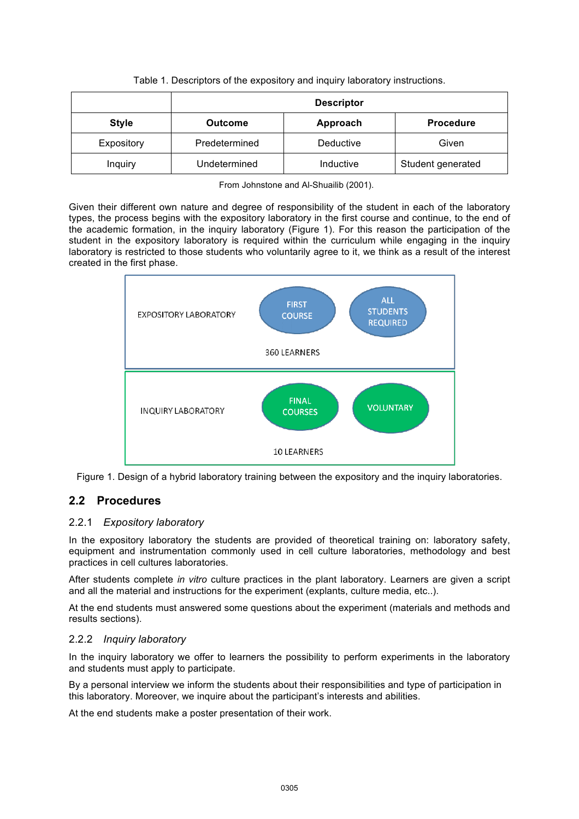|  |  | Table 1. Descriptors of the expository and inquiry laboratory instructions. |  |
|--|--|-----------------------------------------------------------------------------|--|
|  |  |                                                                             |  |

|              | <b>Descriptor</b> |           |                   |  |  |
|--------------|-------------------|-----------|-------------------|--|--|
| <b>Style</b> | <b>Outcome</b>    | Approach  | <b>Procedure</b>  |  |  |
| Expository   | Predetermined     | Deductive | Given             |  |  |
| Inquiry      | Undetermined      | Inductive | Student generated |  |  |

From Johnstone and Al-Shuailib (2001).

Given their different own nature and degree of responsibility of the student in each of the laboratory types, the process begins with the expository laboratory in the first course and continue, to the end of the academic formation, in the inquiry laboratory (Figure 1). For this reason the participation of the student in the expository laboratory is required within the curriculum while engaging in the inquiry laboratory is restricted to those students who voluntarily agree to it, we think as a result of the interest created in the first phase.



Figure 1. Design of a hybrid laboratory training between the expository and the inquiry laboratories.

## **2.2 Procedures**

#### 2.2.1 *Expository laboratory*

In the expository laboratory the students are provided of theoretical training on: laboratory safety, equipment and instrumentation commonly used in cell culture laboratories, methodology and best practices in cell cultures laboratories.

After students complete *in vitro* culture practices in the plant laboratory. Learners are given a script and all the material and instructions for the experiment (explants, culture media, etc..).

At the end students must answered some questions about the experiment (materials and methods and results sections).

#### 2.2.2 *Inquiry laboratory*

In the inquiry laboratory we offer to learners the possibility to perform experiments in the laboratory and students must apply to participate.

By a personal interview we inform the students about their responsibilities and type of participation in this laboratory. Moreover, we inquire about the participant's interests and abilities.

At the end students make a poster presentation of their work.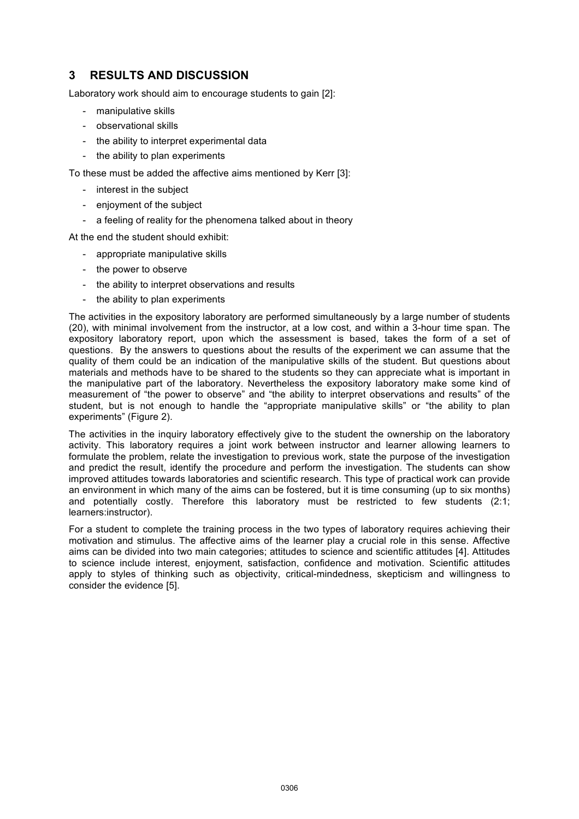## **3 RESULTS AND DISCUSSION**

Laboratory work should aim to encourage students to gain [2]:

- manipulative skills
- observational skills
- the ability to interpret experimental data
- the ability to plan experiments

To these must be added the affective aims mentioned by Kerr [3]:

- interest in the subject
- enjoyment of the subject
- a feeling of reality for the phenomena talked about in theory

At the end the student should exhibit:

- appropriate manipulative skills
- the power to observe
- the ability to interpret observations and results
- the ability to plan experiments

The activities in the expository laboratory are performed simultaneously by a large number of students (20), with minimal involvement from the instructor, at a low cost, and within a 3-hour time span. The expository laboratory report, upon which the assessment is based, takes the form of a set of questions. By the answers to questions about the results of the experiment we can assume that the quality of them could be an indication of the manipulative skills of the student. But questions about materials and methods have to be shared to the students so they can appreciate what is important in the manipulative part of the laboratory. Nevertheless the expository laboratory make some kind of measurement of "the power to observe" and "the ability to interpret observations and results" of the student, but is not enough to handle the "appropriate manipulative skills" or "the ability to plan experiments" (Figure 2).

The activities in the inquiry laboratory effectively give to the student the ownership on the laboratory activity. This laboratory requires a joint work between instructor and learner allowing learners to formulate the problem, relate the investigation to previous work, state the purpose of the investigation and predict the result, identify the procedure and perform the investigation. The students can show improved attitudes towards laboratories and scientific research. This type of practical work can provide an environment in which many of the aims can be fostered, but it is time consuming (up to six months) and potentially costly. Therefore this laboratory must be restricted to few students (2:1; learners:instructor).

For a student to complete the training process in the two types of laboratory requires achieving their motivation and stimulus. The affective aims of the learner play a crucial role in this sense. Affective aims can be divided into two main categories; attitudes to science and scientific attitudes [4]. Attitudes to science include interest, enjoyment, satisfaction, confidence and motivation. Scientific attitudes apply to styles of thinking such as objectivity, critical-mindedness, skepticism and willingness to consider the evidence [5].